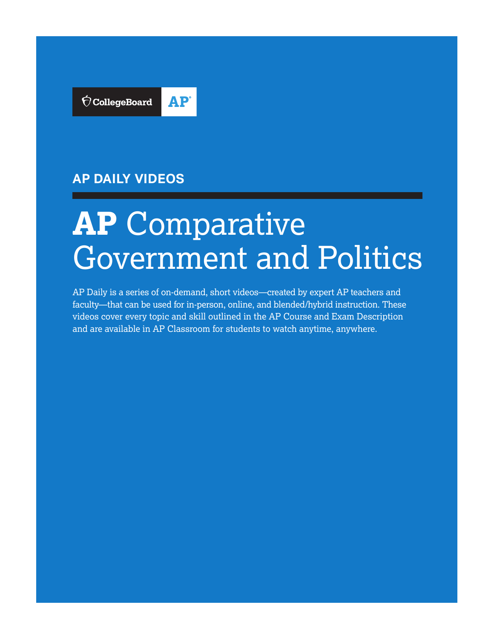

### **AP DAILY VIDEOS**

# **AP** Comparative Government and Politics

AP Daily is a series of on-demand, short videos—created by expert AP teachers and faculty—that can be used for in-person, online, and blended/hybrid instruction. These videos cover every topic and skill outlined in the AP Course and Exam Description and are available in AP Classroom for students to watch anytime, anywhere.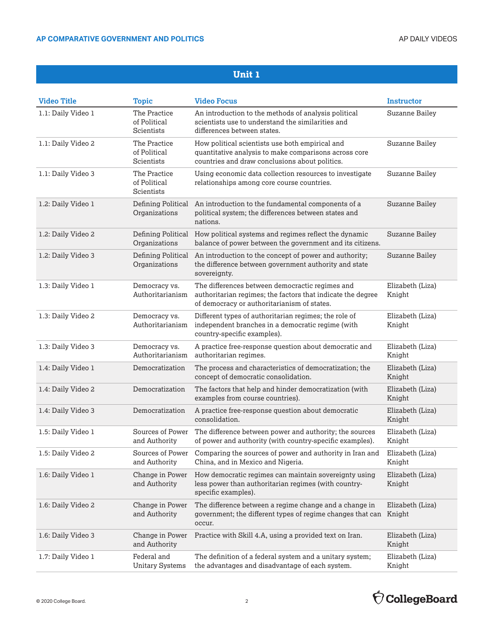| <b>Video Title</b> | <b>Topic</b>                               | <b>Video Focus</b>                                                                                                                                            | <b>Instructor</b>          |
|--------------------|--------------------------------------------|---------------------------------------------------------------------------------------------------------------------------------------------------------------|----------------------------|
| 1.1: Daily Video 1 | The Practice<br>of Political<br>Scientists | An introduction to the methods of analysis political<br>scientists use to understand the similarities and<br>differences between states.                      | <b>Suzanne Bailey</b>      |
| 1.1: Daily Video 2 | The Practice<br>of Political<br>Scientists | How political scientists use both empirical and<br>quantitative analysis to make comparisons across core<br>countries and draw conclusions about politics.    | Suzanne Bailey             |
| 1.1: Daily Video 3 | The Practice<br>of Political<br>Scientists | Using economic data collection resources to investigate<br>relationships among core course countries.                                                         | <b>Suzanne Bailey</b>      |
| 1.2: Daily Video 1 | Defining Political<br>Organizations        | An introduction to the fundamental components of a<br>political system; the differences between states and<br>nations.                                        | <b>Suzanne Bailey</b>      |
| 1.2: Daily Video 2 | Defining Political<br>Organizations        | How political systems and regimes reflect the dynamic<br>balance of power between the government and its citizens.                                            | <b>Suzanne Bailey</b>      |
| 1.2: Daily Video 3 | Defining Political<br>Organizations        | An introduction to the concept of power and authority;<br>the difference between government authority and state<br>sovereignty.                               | Suzanne Bailey             |
| 1.3: Daily Video 1 | Democracy vs.<br>Authoritarianism          | The differences between democractic regimes and<br>authoritarian regimes; the factors that indicate the degree<br>of democracy or authoritarianism of states. | Elizabeth (Liza)<br>Knight |
| 1.3: Daily Video 2 | Democracy vs.<br>Authoritarianism          | Different types of authoritarian regimes; the role of<br>independent branches in a democratic regime (with<br>country-specific examples).                     | Elizabeth (Liza)<br>Knight |
| 1.3: Daily Video 3 | Democracy vs.<br>Authoritarianism          | A practice free-response question about democratic and<br>authoritarian regimes.                                                                              | Elizabeth (Liza)<br>Knight |
| 1.4: Daily Video 1 | Democratization                            | The process and characteristics of democratization; the<br>concept of democratic consolidation.                                                               | Elizabeth (Liza)<br>Knight |
| 1.4: Daily Video 2 | Democratization                            | The factors that help and hinder democratization (with<br>examples from course countries).                                                                    | Elizabeth (Liza)<br>Knight |
| 1.4: Daily Video 3 | Democratization                            | A practice free-response question about democratic<br>consolidation.                                                                                          | Elizabeth (Liza)<br>Knight |
| 1.5: Daily Video 1 | Sources of Power<br>and Authority          | The difference between power and authority; the sources<br>of power and authority (with country-specific examples).                                           | Elizabeth (Liza)<br>Knight |
| 1.5: Daily Video 2 | Sources of Power<br>and Authority          | Comparing the sources of power and authority in Iran and<br>China, and in Mexico and Nigeria.                                                                 | Elizabeth (Liza)<br>Knight |
| 1.6: Daily Video 1 | Change in Power<br>and Authority           | How democratic regimes can maintain sovereignty using<br>less power than authoritarian regimes (with country-<br>specific examples).                          | Elizabeth (Liza)<br>Knight |
| 1.6: Daily Video 2 | Change in Power<br>and Authority           | The difference between a regime change and a change in<br>government; the different types of regime changes that can Knight<br>occur.                         | Elizabeth (Liza)           |
| 1.6: Daily Video 3 | Change in Power<br>and Authority           | Practice with Skill 4.A, using a provided text on Iran.                                                                                                       | Elizabeth (Liza)<br>Knight |
| 1.7: Daily Video 1 | Federal and<br><b>Unitary Systems</b>      | The definition of a federal system and a unitary system;<br>the advantages and disadvantage of each system.                                                   | Elizabeth (Liza)<br>Knight |

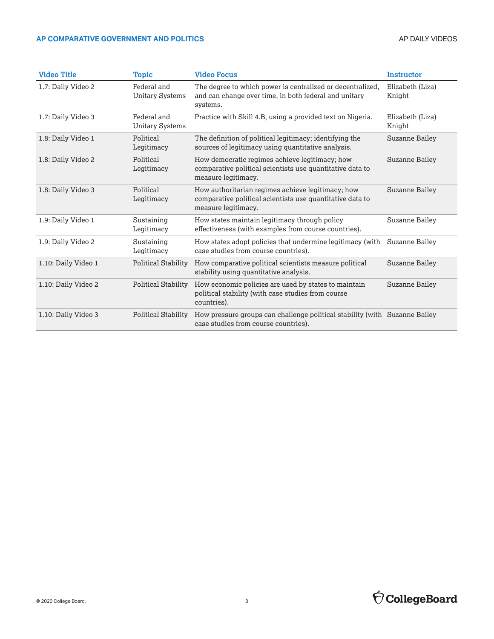| <b>Video Title</b>  | <b>Topic</b>                          | <b>Video Focus</b>                                                                                                                    | <b>Instructor</b>          |
|---------------------|---------------------------------------|---------------------------------------------------------------------------------------------------------------------------------------|----------------------------|
| 1.7: Daily Video 2  | Federal and<br><b>Unitary Systems</b> | The degree to which power is centralized or decentralized,<br>and can change over time, in both federal and unitary<br>systems.       | Elizabeth (Liza)<br>Knight |
| 1.7: Daily Video 3  | Federal and<br><b>Unitary Systems</b> | Practice with Skill 4.B, using a provided text on Nigeria.                                                                            | Elizabeth (Liza)<br>Knight |
| 1.8: Daily Video 1  | Political<br>Legitimacy               | The definition of political legitimacy; identifying the<br>sources of legitimacy using quantitative analysis.                         | <b>Suzanne Bailey</b>      |
| 1.8: Daily Video 2  | Political<br>Legitimacy               | How democratic regimes achieve legitimacy; how<br>comparative political scientists use quantitative data to<br>measure legitimacy.    | <b>Suzanne Bailey</b>      |
| 1.8: Daily Video 3  | Political<br>Legitimacy               | How authoritarian regimes achieve legitimacy; how<br>comparative political scientists use quantitative data to<br>measure legitimacy. | Suzanne Bailey             |
| 1.9: Daily Video 1  | Sustaining<br>Legitimacy              | How states maintain legitimacy through policy<br>effectiveness (with examples from course countries).                                 | Suzanne Bailey             |
| 1.9: Daily Video 2  | Sustaining<br>Legitimacy              | How states adopt policies that undermine legitimacy (with<br>case studies from course countries).                                     | Suzanne Bailey             |
| 1.10: Daily Video 1 | <b>Political Stability</b>            | How comparative political scientists measure political<br>stability using quantitative analysis.                                      | Suzanne Bailey             |
| 1.10: Daily Video 2 | <b>Political Stability</b>            | How economic policies are used by states to maintain<br>political stability (with case studies from course<br>countries).             | Suzanne Bailey             |
| 1.10: Daily Video 3 | <b>Political Stability</b>            | How pressure groups can challenge political stability (with Suzanne Bailey<br>case studies from course countries).                    |                            |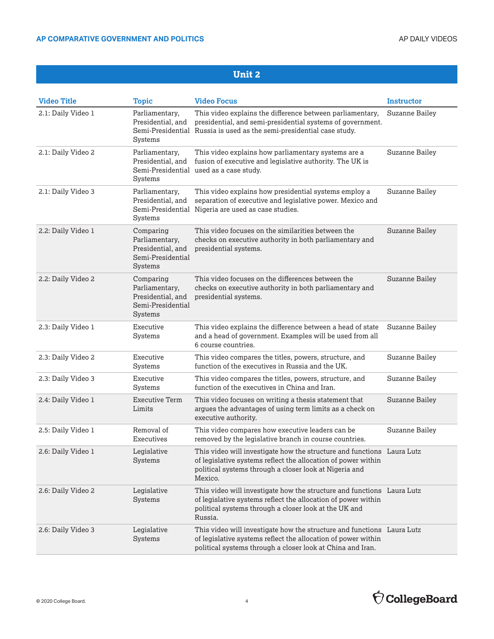#### **Unit 2**

| <b>Video Title</b> | Topic                                                                                   | <b>Video Focus</b>                                                                                                                                                                                           | <b>Instructor</b>     |
|--------------------|-----------------------------------------------------------------------------------------|--------------------------------------------------------------------------------------------------------------------------------------------------------------------------------------------------------------|-----------------------|
| 2.1: Daily Video 1 | Parliamentary,<br>Presidential, and<br>Systems                                          | This video explains the difference between parliamentary,<br>presidential, and semi-presidential systems of government.<br>Semi-Presidential Russia is used as the semi-presidential case study.             | <b>Suzanne Bailey</b> |
| 2.1: Daily Video 2 | Parliamentary,<br>Presidential, and<br>Systems                                          | This video explains how parliamentary systems are a<br>fusion of executive and legislative authority. The UK is<br>Semi-Presidential used as a case study.                                                   | Suzanne Bailey        |
| 2.1: Daily Video 3 | Parliamentary,<br>Presidential, and<br>Systems                                          | This video explains how presidential systems employ a<br>separation of executive and legislative power. Mexico and<br>Semi-Presidential Nigeria are used as case studies.                                    | Suzanne Bailey        |
| 2.2: Daily Video 1 | Comparing<br>Parliamentary,<br>Presidential, and<br>Semi-Presidential<br>Systems        | This video focuses on the similarities between the<br>checks on executive authority in both parliamentary and<br>presidential systems.                                                                       | <b>Suzanne Bailey</b> |
| 2.2: Daily Video 2 | Comparing<br>Parliamentary,<br>Presidential, and<br>Semi-Presidential<br><b>Systems</b> | This video focuses on the differences between the<br>checks on executive authority in both parliamentary and<br>presidential systems.                                                                        | Suzanne Bailey        |
| 2.3: Daily Video 1 | Executive<br>Systems                                                                    | This video explains the difference between a head of state<br>and a head of government. Examples will be used from all<br>6 course countries.                                                                | Suzanne Bailey        |
| 2.3: Daily Video 2 | Executive<br>Systems                                                                    | This video compares the titles, powers, structure, and<br>function of the executives in Russia and the UK.                                                                                                   | Suzanne Bailey        |
| 2.3: Daily Video 3 | Executive<br>Systems                                                                    | This video compares the titles, powers, structure, and<br>function of the executives in China and Iran.                                                                                                      | <b>Suzanne Bailey</b> |
| 2.4: Daily Video 1 | <b>Executive Term</b><br>Limits                                                         | This video focuses on writing a thesis statement that<br>argues the advantages of using term limits as a check on<br>executive authority.                                                                    | Suzanne Bailey        |
| 2.5: Daily Video 1 | Removal of<br>Executives                                                                | This video compares how executive leaders can be<br>removed by the legislative branch in course countries.                                                                                                   | <b>Suzanne Bailey</b> |
| 2.6: Daily Video 1 | Legislative<br>Systems                                                                  | This video will investigate how the structure and functions Laura Lutz<br>of legislative systems reflect the allocation of power within<br>political systems through a closer look at Nigeria and<br>Mexico. |                       |
| 2.6: Daily Video 2 | Legislative<br><b>Systems</b>                                                           | This video will investigate how the structure and functions Laura Lutz<br>of legislative systems reflect the allocation of power within<br>political systems through a closer look at the UK and<br>Russia.  |                       |
| 2.6: Daily Video 3 | Legislative<br>Systems                                                                  | This video will investigate how the structure and functions Laura Lutz<br>of legislative systems reflect the allocation of power within<br>political systems through a closer look at China and Iran.        |                       |

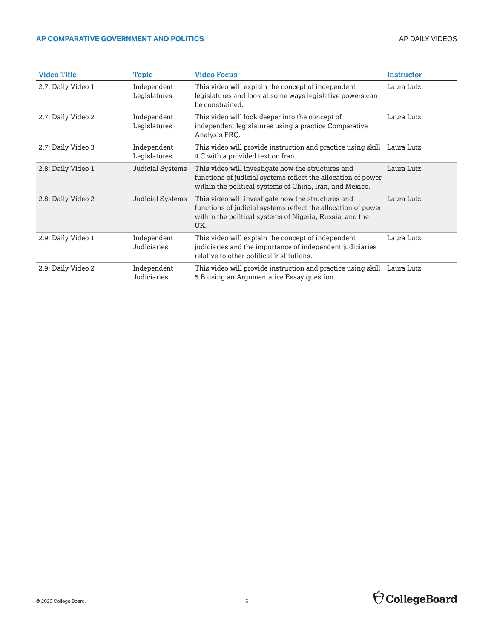| <b>Video Title</b> | Topic                       | <b>Video Focus</b>                                                                                                                                                                     | <b>Instructor</b> |
|--------------------|-----------------------------|----------------------------------------------------------------------------------------------------------------------------------------------------------------------------------------|-------------------|
| 2.7: Daily Video 1 | Independent<br>Legislatures | This video will explain the concept of independent<br>legislatures and look at some ways legislative powers can<br>be constrained.                                                     | Laura Lutz        |
| 2.7: Daily Video 2 | Independent<br>Legislatures | This video will look deeper into the concept of<br>independent legislatures using a practice Comparative<br>Analysis FRQ.                                                              | Laura Lutz        |
| 2.7: Daily Video 3 | Independent<br>Legislatures | This video will provide instruction and practice using skill Laura Lutz<br>4.C with a provided text on Iran.                                                                           |                   |
| 2.8: Daily Video 1 | Judicial Systems            | This video will investigate how the structures and<br>functions of judicial systems reflect the allocation of power<br>within the political systems of China, Iran, and Mexico.        | Laura Lutz        |
| 2.8: Daily Video 2 | Judicial Systems            | This video will investigate how the structures and<br>functions of judicial systems reflect the allocation of power<br>within the political systems of Nigeria, Russia, and the<br>UK. | Laura Lutz        |
| 2.9: Daily Video 1 | Independent<br>Judiciaries  | This video will explain the concept of independent<br>judiciaries and the importance of independent judiciaries<br>relative to other political institutions.                           | Laura Lutz        |
| 2.9: Daily Video 2 | Independent<br>Judiciaries  | This video will provide instruction and practice using skill<br>5.B using an Argumentative Essay question.                                                                             | Laura Lutz        |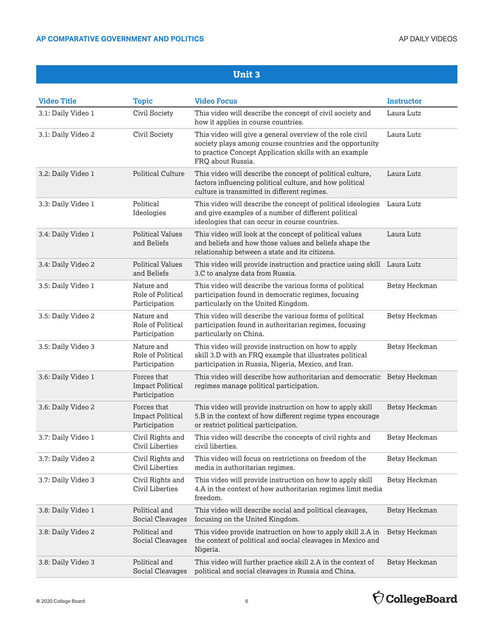#### **Unit 3**

| <b>Video Title</b> | Topic                                                   | <b>Video Focus</b>                                                                                                                                                                                   | <b>Instructor</b> |
|--------------------|---------------------------------------------------------|------------------------------------------------------------------------------------------------------------------------------------------------------------------------------------------------------|-------------------|
| 3.1: Daily Video 1 | Civil Society                                           | This video will describe the concept of civil society and<br>how it applies in course countries.                                                                                                     | Laura Lutz        |
| 3.1: Daily Video 2 | Civil Society                                           | This video will give a general overview of the role civil<br>society plays among course countries and the opportunity<br>to practice Concept Application skills with an example<br>FRQ about Russia. | Laura Lutz        |
| 3.2: Daily Video 1 | <b>Political Culture</b>                                | This video will describe the concept of political culture,<br>factors influencing political culture, and how political<br>culture is transmitted in different regimes.                               | Laura Lutz        |
| 3.3: Daily Video 1 | Political<br>Ideologies                                 | This video will describe the concept of political ideologies<br>and give examples of a number of different political<br>ideologies that can occur in course countries.                               | Laura Lutz        |
| 3.4: Daily Video 1 | <b>Political Values</b><br>and Beliefs                  | This video will look at the concept of political values<br>and beliefs and how those values and beliefs shape the<br>relationship between a state and its citizens.                                  | Laura Lutz        |
| 3.4: Daily Video 2 | <b>Political Values</b><br>and Beliefs                  | This video will provide instruction and practice using skill Laura Lutz<br>3.C to analyze data from Russia.                                                                                          |                   |
| 3.5: Daily Video 1 | Nature and<br>Role of Political<br>Participation        | This video will describe the various forms of political<br>participation found in democratic regimes, focusing<br>particularly on the United Kingdom.                                                | Betsy Heckman     |
| 3.5: Daily Video 2 | Nature and<br>Role of Political<br>Participation        | This video will describe the various forms of political<br>participation found in authoritarian regimes, focusing<br>particularly on China.                                                          | Betsy Heckman     |
| 3.5: Daily Video 3 | Nature and<br>Role of Political<br>Participation        | This video will provide instruction on how to apply<br>skill 3.D with an FRQ example that illustrates political<br>participation in Russia, Nigeria, Mexico, and Iran.                               | Betsy Heckman     |
| 3.6: Daily Video 1 | Forces that<br><b>Impact Political</b><br>Participation | This video will describe how authoritarian and democratic Betsy Heckman<br>regimes manage political participation.                                                                                   |                   |
| 3.6: Daily Video 2 | Forces that<br><b>Impact Political</b><br>Participation | This video will provide instruction on how to apply skill<br>5.B in the context of how different regime types encourage<br>or restrict political participation.                                      | Betsy Heckman     |
| 3.7: Daily Video 1 | Civil Rights and<br>Civil Liberties                     | This video will describe the concepts of civil rights and<br>civil liberties.                                                                                                                        | Betsy Heckman     |
| 3.7: Daily Video 2 | Civil Rights and<br><b>Civil Liberties</b>              | This video will focus on restrictions on freedom of the<br>media in authoritarian regimes.                                                                                                           | Betsy Heckman     |
| 3.7: Daily Video 3 | Civil Rights and<br>Civil Liberties                     | This video will provide instruction on how to apply skill<br>4.A in the context of how authoritarian regimes limit media<br>freedom.                                                                 | Betsy Heckman     |
| 3.8: Daily Video 1 | Political and<br>Social Cleavages                       | This video will describe social and political cleavages,<br>focusing on the United Kingdom.                                                                                                          | Betsy Heckman     |
| 3.8: Daily Video 2 | Political and<br>Social Cleavages                       | This video provide instruction on how to apply skill 2.A in<br>the context of political and social cleavages in Mexico and<br>Nigeria.                                                               | Betsy Heckman     |
| 3.8: Daily Video 3 | Political and<br>Social Cleavages                       | This video will further practice skill 2.A in the context of<br>political and social cleavages in Russia and China.                                                                                  | Betsy Heckman     |

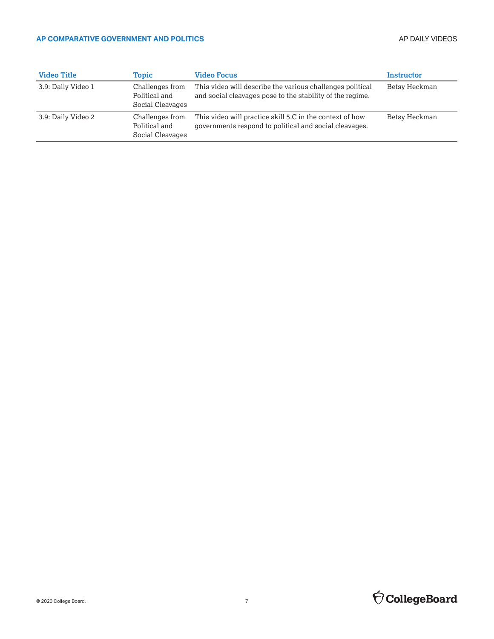| <b>Video Title</b> | Topic                                                | <b>Video Focus</b>                                                                                                     | Instructor    |
|--------------------|------------------------------------------------------|------------------------------------------------------------------------------------------------------------------------|---------------|
| 3.9: Daily Video 1 | Challenges from<br>Political and<br>Social Cleavages | This video will describe the various challenges political<br>and social cleavages pose to the stability of the regime. | Betsy Heckman |
| 3.9: Daily Video 2 | Challenges from<br>Political and<br>Social Cleavages | This video will practice skill 5.C in the context of how<br>governments respond to political and social cleavages.     | Betsy Heckman |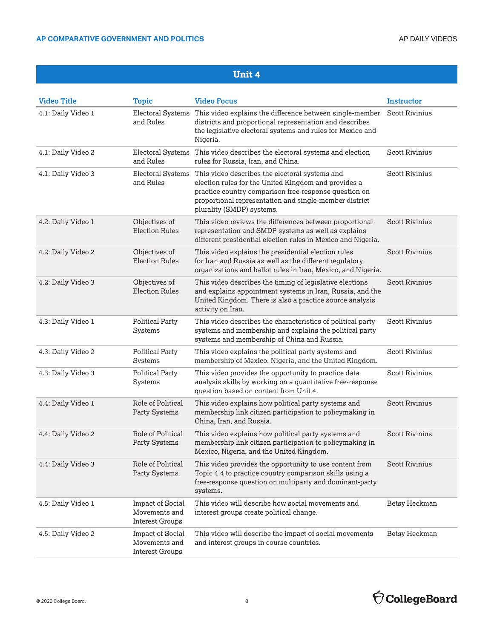| <b>Video Title</b> | <b>Topic</b>                                                       | <b>Video Focus</b>                                                                                                                                                                                                                                     | <b>Instructor</b>     |
|--------------------|--------------------------------------------------------------------|--------------------------------------------------------------------------------------------------------------------------------------------------------------------------------------------------------------------------------------------------------|-----------------------|
| 4.1: Daily Video 1 | <b>Electoral Systems</b><br>and Rules                              | This video explains the difference between single-member<br>districts and proportional representation and describes<br>the legislative electoral systems and rules for Mexico and<br>Nigeria.                                                          | <b>Scott Rivinius</b> |
| 4.1: Daily Video 2 | Electoral Systems<br>and Rules                                     | This video describes the electoral systems and election<br>rules for Russia, Iran, and China.                                                                                                                                                          | <b>Scott Rivinius</b> |
| 4.1: Daily Video 3 | <b>Electoral Systems</b><br>and Rules                              | This video describes the electoral systems and<br>election rules for the United Kingdom and provides a<br>practice country comparison free-response question on<br>proportional representation and single-member district<br>plurality (SMDP) systems. | Scott Rivinius        |
| 4.2: Daily Video 1 | Objectives of<br><b>Election Rules</b>                             | This video reviews the differences between proportional<br>representation and SMDP systems as well as explains<br>different presidential election rules in Mexico and Nigeria.                                                                         | <b>Scott Rivinius</b> |
| 4.2: Daily Video 2 | Objectives of<br><b>Election Rules</b>                             | This video explains the presidential election rules<br>for Iran and Russia as well as the different regulatory<br>organizations and ballot rules in Iran, Mexico, and Nigeria.                                                                         | <b>Scott Rivinius</b> |
| 4.2: Daily Video 3 | Objectives of<br><b>Election Rules</b>                             | This video describes the timing of legislative elections<br>and explains appointment systems in Iran, Russia, and the<br>United Kingdom. There is also a practice source analysis<br>activity on Iran.                                                 | <b>Scott Rivinius</b> |
| 4.3: Daily Video 1 | <b>Political Party</b><br><b>Systems</b>                           | This video describes the characteristics of political party<br>systems and membership and explains the political party<br>systems and membership of China and Russia.                                                                                  | <b>Scott Rivinius</b> |
| 4.3: Daily Video 2 | <b>Political Party</b><br>Systems                                  | This video explains the political party systems and<br>membership of Mexico, Nigeria, and the United Kingdom.                                                                                                                                          | <b>Scott Rivinius</b> |
| 4.3: Daily Video 3 | <b>Political Party</b><br>Systems                                  | This video provides the opportunity to practice data<br>analysis skills by working on a quantitative free-response<br>question based on content from Unit 4.                                                                                           | <b>Scott Rivinius</b> |
| 4.4: Daily Video 1 | Role of Political<br>Party Systems                                 | This video explains how political party systems and<br>membership link citizen participation to policymaking in<br>China, Iran, and Russia.                                                                                                            | <b>Scott Rivinius</b> |
| 4.4: Daily Video 2 | Role of Political<br>Party Systems                                 | This video explains how political party systems and<br>membership link citizen participation to policymaking in<br>Mexico, Nigeria, and the United Kingdom.                                                                                            | <b>Scott Rivinius</b> |
| 4.4: Daily Video 3 | Role of Political<br>Party Systems                                 | This video provides the opportunity to use content from<br>Topic 4.4 to practice country comparison skills using a<br>free-response question on multiparty and dominant-party<br>systems.                                                              | <b>Scott Rivinius</b> |
| 4.5: Daily Video 1 | Impact of Social<br>Movements and<br><b>Interest Groups</b>        | This video will describe how social movements and<br>interest groups create political change.                                                                                                                                                          | Betsy Heckman         |
| 4.5: Daily Video 2 | <b>Impact of Social</b><br>Movements and<br><b>Interest Groups</b> | This video will describe the impact of social movements<br>and interest groups in course countries.                                                                                                                                                    | Betsy Heckman         |

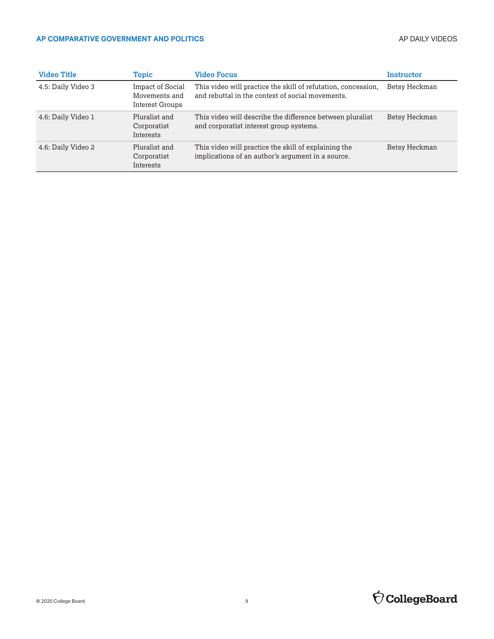| Video Title        | Topic                                                       | <b>Video Focus</b>                                                                                                | Instructor    |
|--------------------|-------------------------------------------------------------|-------------------------------------------------------------------------------------------------------------------|---------------|
| 4.5: Daily Video 3 | <b>Impact of Social</b><br>Movements and<br>Interest Groups | This video will practice the skill of refutation, concession,<br>and rebuttal in the context of social movements. | Betsy Heckman |
| 4.6: Daily Video 1 | Pluralist and<br>Corporatist<br>Interests                   | This video will describe the difference between pluralist<br>and corporatist interest group systems.              | Betsy Heckman |
| 4.6: Daily Video 2 | Pluralist and<br>Corporatist<br>Interests                   | This video will practice the skill of explaining the<br>implications of an author's argument in a source.         | Betsy Heckman |

## $\bigcirc$  CollegeBoard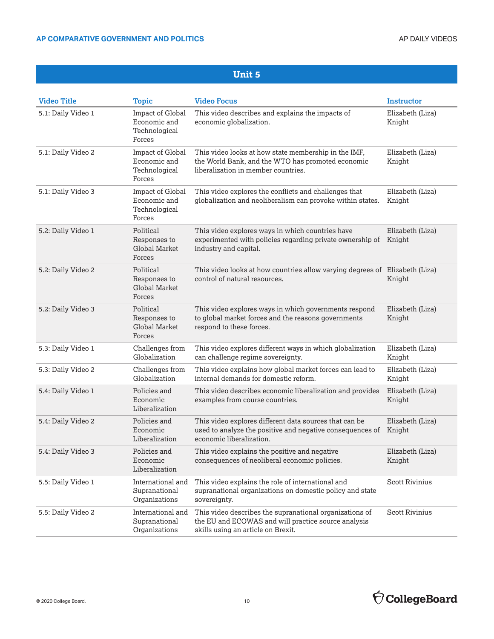#### **Unit 5**

| <b>Video Title</b> | <b>Topic</b>                                                | <b>Video Focus</b>                                                                                                                                   | <b>Instructor</b>          |
|--------------------|-------------------------------------------------------------|------------------------------------------------------------------------------------------------------------------------------------------------------|----------------------------|
| 5.1: Daily Video 1 | Impact of Global<br>Economic and<br>Technological<br>Forces | This video describes and explains the impacts of<br>economic globalization.                                                                          | Elizabeth (Liza)<br>Knight |
| 5.1: Daily Video 2 | Impact of Global<br>Economic and<br>Technological<br>Forces | This video looks at how state membership in the IMF,<br>the World Bank, and the WTO has promoted economic<br>liberalization in member countries.     | Elizabeth (Liza)<br>Knight |
| 5.1: Daily Video 3 | Impact of Global<br>Economic and<br>Technological<br>Forces | This video explores the conflicts and challenges that<br>globalization and neoliberalism can provoke within states.                                  | Elizabeth (Liza)<br>Knight |
| 5.2: Daily Video 1 | Political<br>Responses to<br>Global Market<br>Forces        | This video explores ways in which countries have<br>experimented with policies regarding private ownership of<br>industry and capital.               | Elizabeth (Liza)<br>Knight |
| 5.2: Daily Video 2 | Political<br>Responses to<br>Global Market<br>Forces        | This video looks at how countries allow varying degrees of Elizabeth (Liza)<br>control of natural resources.                                         | Knight                     |
| 5.2: Daily Video 3 | Political<br>Responses to<br>Global Market<br>Forces        | This video explores ways in which governments respond<br>to global market forces and the reasons governments<br>respond to these forces.             | Elizabeth (Liza)<br>Knight |
| 5.3: Daily Video 1 | Challenges from<br>Globalization                            | This video explores different ways in which globalization<br>can challenge regime sovereignty.                                                       | Elizabeth (Liza)<br>Knight |
| 5.3: Daily Video 2 | Challenges from<br>Globalization                            | This video explains how global market forces can lead to<br>internal demands for domestic reform.                                                    | Elizabeth (Liza)<br>Knight |
| 5.4: Daily Video 1 | Policies and<br>Economic<br>Liberalization                  | This video describes economic liberalization and provides<br>examples from course countries.                                                         | Elizabeth (Liza)<br>Knight |
| 5.4: Daily Video 2 | Policies and<br>Economic<br>Liberalization                  | This video explores different data sources that can be<br>used to analyze the positive and negative consequences of<br>economic liberalization.      | Elizabeth (Liza)<br>Knight |
| 5.4: Daily Video 3 | Policies and<br>Economic<br>Liberalization                  | This video explains the positive and negative<br>consequences of neoliberal economic policies.                                                       | Elizabeth (Liza)<br>Knight |
| 5.5: Daily Video 1 | International and<br>Supranational<br>Organizations         | This video explains the role of international and<br>supranational organizations on domestic policy and state<br>sovereignty.                        | <b>Scott Rivinius</b>      |
| 5.5: Daily Video 2 | International and<br>Supranational<br>Organizations         | This video describes the supranational organizations of<br>the EU and ECOWAS and will practice source analysis<br>skills using an article on Brexit. | <b>Scott Rivinius</b>      |